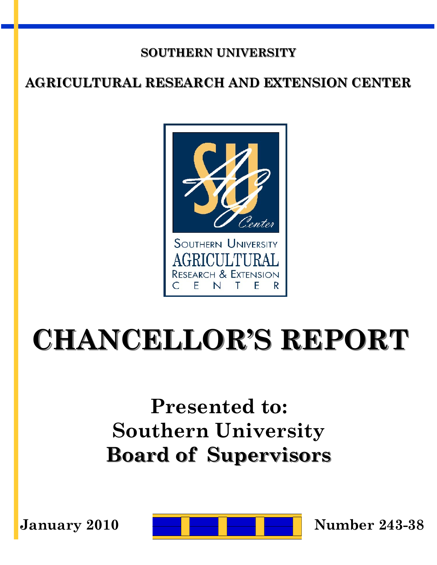### **SOUTHERN UNIVERSITY**

## **AGRICULTURAL RESEARCH AND EXTENSION CENTER**



# **CHANCELLOR'S REPORT**

## **Presented to: Southern University Board of Supervisors**

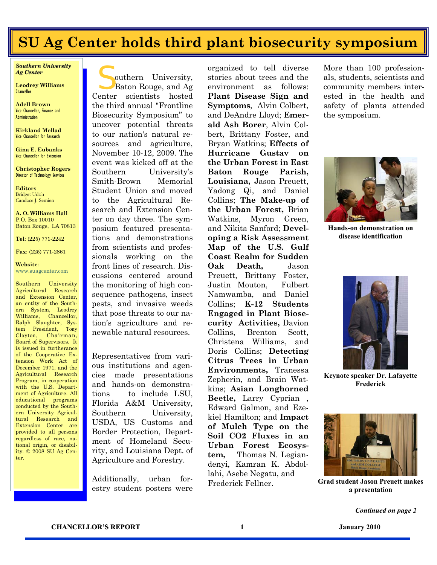## **SU Ag Center holds third plant biosecurity symposium**

organized to tell diverse

*Southern University Ag Center*

**Leodrey Williams Chancellor** 

**Adell Brown** Vice Chancellor, Finance and Administration

**Kirkland Mellad** Vice Chancellor for Research

**Gina E. Eubanks** Vice Chancellor for Extension

**Christopher Rogers** Director of Technology Services

**Editors** Bridget Udoh Candace J. Semien

**A. O. Williams Hall** P.O. Box 10010 Baton Rouge, LA 70813

**Tel**: (225) 771-2242

**Fax**: (225) 771-2861

**Website**: www.suagcenter.com

Southern University Agricultural Research and Extension Center an entity of the Southern System, Leodrey Williams, Chancellor, Ralph Slaughter, System President, Tony Clayton, Chairman, Board of Supervisors. It is issued in furtherance of the Cooperative Extension Work Act of December 1971, and the Agricultural Research Program, in cooperation with the U.S. Department of Agriculture. All educational programs conducted by the Southern University Agricultural Research and Extension Center are provided to all persons regardless of race, national origin, or disability. © 2008 SU Ag Center.

S outhern University, Baton Rouge, and Ag Center scientists hosted the third annual "Frontline Biosecurity Symposium" to uncover potential threats to our nation's natural resources and agriculture, November 10-12, 2009. The event was kicked off at the Southern University's Smith-Brown Memorial Student Union and moved to the Agricultural Research and Extension Center on day three. The symposium featured presentations and demonstrations from scientists and professionals working on the front lines of research. Discussions centered around the monitoring of high consequence pathogens, insect pests, and invasive weeds that pose threats to our nation's agriculture and renewable natural resources.

Representatives from various institutions and agencies made presentations and hands-on demonstrations to include LSU, Florida A&M University, Southern University, USDA, US Customs and Border Protection, Department of Homeland Security, and Louisiana Dept. of Agriculture and Forestry.

Additionally, urban forestry student posters were

stories about trees and the environment as follows: **Plant Disease Sign and Symptoms**, Alvin Colbert, and DeAndre Lloyd; **Emerald Ash Borer**, Alvin Colbert, Brittany Foster, and Bryan Watkins; **Effects of Hurricane Gustav on the Urban Forest in East Baton Rouge Parish, Louisiana,** Jason Preuett, Yadong Qi, and Daniel Collins; **The Make-up of the Urban Forest,** Brian Watkins, Myron Green, and Nikita Sanford; **Developing a Risk Assessment Map of the U.S. Gulf Coast Realm for Sudden Oak Death,** Jason Preuett, Brittany Foster, Justin Mouton, Fulbert Namwamba, and Daniel Collins; **K-12 Students Engaged in Plant Biosecurity Activities,** Davion Collins, Brenton Scott, Christena Williams, and Doris Collins; **Detecting Citrus Trees in Urban Environments,** Tranessa Zepherin, and Brain Watkins; **Asian Longhorned Beetle,** Larry Cyprian , Edward Galmon, and Ezekiel Hamilton; and **Impact of Mulch Type on the Soil CO2 Fluxes in an Urban Forest Ecosystem,** Thomas N. Legiandenyi, Kamran K. Abdollahi, Asebe Negatu, and Frederick Fellner.

More than 100 professionals, students, scientists and community members interested in the health and safety of plants attended the symposium.



**Hands-on demonstration on disease identification**



**Keynote speaker Dr. Lafayette Frederick**



**Grad student Jason Preuett makes a presentation**

*Continued on page 2*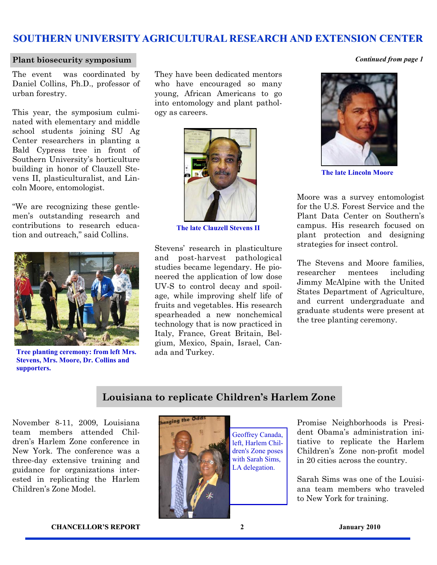#### **Plant biosecurity symposium** *Continued from page 1*

The event was coordinated by Daniel Collins, Ph.D., professor of urban forestry.

This year, the symposium culminated with elementary and middle school students joining SU Ag Center researchers in planting a Bald Cypress tree in front of Southern University's horticulture building in honor of Clauzell Stevens II, plasticulturalist, and Lincoln Moore, entomologist.

"We are recognizing these gentlemen's outstanding research and contributions to research education and outreach," said Collins.



**Tree planting ceremony: from left Mrs. Stevens, Mrs. Moore, Dr. Collins and supporters.**

They have been dedicated mentors who have encouraged so many young, African Americans to go into entomology and plant pathology as careers.



**The late Clauzell Stevens II**

Stevens' research in plasticulture and post-harvest pathological studies became legendary. He pioneered the application of low dose UV-S to control decay and spoilage, while improving shelf life of fruits and vegetables. His research spearheaded a new nonchemical technology that is now practiced in Italy, France, Great Britain, Belgium, Mexico, Spain, Israel, Canada and Turkey.



**The late Lincoln Moore**

Moore was a survey entomologist for the U.S. Forest Service and the Plant Data Center on Southern's campus. His research focused on plant protection and designing strategies for insect control.

The Stevens and Moore families, researcher mentees including Jimmy McAlpine with the United States Department of Agriculture, and current undergraduate and graduate students were present at the tree planting ceremony.

#### **Louisiana to replicate Children's Harlem Zone**

November 8-11, 2009, Louisiana team members attended Children's Harlem Zone conference in New York. The conference was a three-day extensive training and guidance for organizations interested in replicating the Harlem Children's Zone Model.



anging the Od

Geoffrey Canada, left, Harlem Children's Zone poses with Sarah Sims, LA delegation.

Promise Neighborhoods is President Obama's administration initiative to replicate the Harlem Children's Zone non-profit model in 20 cities across the country.

Sarah Sims was one of the Louisiana team members who traveled to New York for training.

**CHANCELLOR'S REPORT 2 January 2010**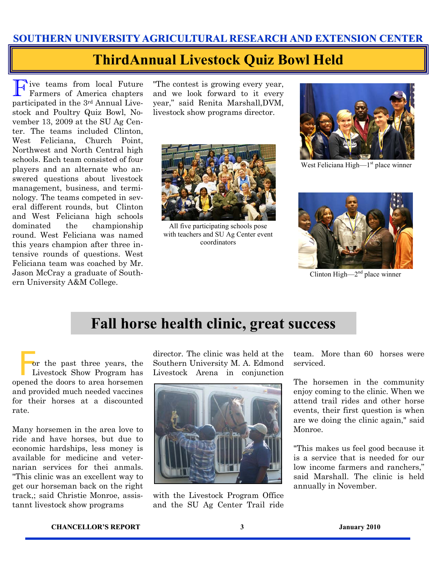## **ThirdAnnual Livestock Quiz Bowl Held**

F ive teams from local Future Farmers of America chapters participated in the 3rd Annual Livestock and Poultry Quiz Bowl, November 13, 2009 at the SU Ag Center. The teams included Clinton, West Feliciana, Church Point, Northwest and North Central high schools. Each team consisted of four players and an alternate who answered questions about livestock management, business, and terminology. The teams competed in several different rounds, but Clinton and West Feliciana high schools dominated the championship round. West Feliciana was named this years champion after three intensive rounds of questions. West Feliciana team was coached by Mr. Jason McCray a graduate of Southern University A&M College.

"The contest is growing every year, and we look forward to it every year," said Renita Marshall,DVM, livestock show programs director.



All five participating schools pose with teachers and SU Ag Center event coordinators



West Feliciana High-1<sup>st</sup> place winner



Clinton High $-2<sup>nd</sup>$  place winner

## **Fall horse health clinic, great success**

 F or the past three years, the Livestock Show Program has opened the doors to area horsemen and provided much needed vaccines for their horses at a discounted rate.

Many horsemen in the area love to ride and have horses, but due to economic hardships, less money is available for medicine and veternarian services for thei anmals. "This clinic was an excellent way to get our horseman back on the right track,; said Christie Monroe, assistannt livestock show programs

director. The clinic was held at the Southern University M. A. Edmond Livestock Arena in conjunction



with the Livestock Program Office and the SU Ag Center Trail ride

team. More than 60 horses were serviced.

The horsemen in the community enjoy coming to the clinic. When we attend trail rides and other horse events, their first question is when are we doing the clinic again," said Monroe.

"This makes us feel good because it is a service that is needed for our low income farmers and ranchers," said Marshall. The clinic is held annually in November.

#### **CHANCELLOR'S REPORT 3 January 2010**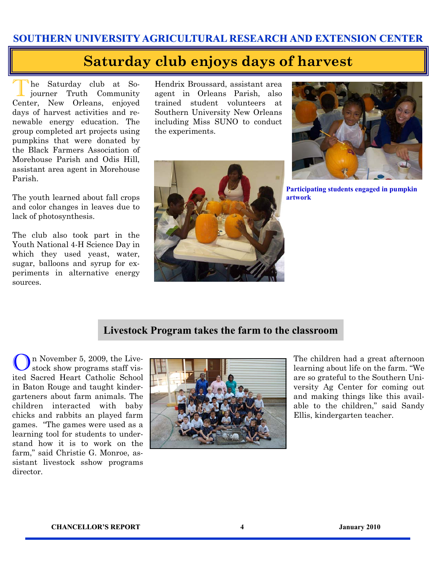## **Saturday club enjoys days of harvest**

The Saturday club at So-<br>journer Truth Community he Saturday club at So-Center, New Orleans, enjoyed days of harvest activities and renewable energy education. The group completed art projects using pumpkins that were donated by the Black Farmers Association of Morehouse Parish and Odis Hill, assistant area agent in Morehouse Parish.

The youth learned about fall crops and color changes in leaves due to lack of photosynthesis.

The club also took part in the Youth National 4-H Science Day in which they used yeast, water, sugar, balloons and syrup for experiments in alternative energy sources.

Hendrix Broussard, assistant area agent in Orleans Parish, also trained student volunteers at Southern University New Orleans including Miss SUNO to conduct the experiments.





**Participating students engaged in pumpkin artwork** 

#### **Livestock Program takes the farm to the classroom**

On November 5, 2009, the Live-stock show programs staff visited Sacred Heart Catholic School in Baton Rouge and taught kindergarteners about farm animals. The children interacted with baby chicks and rabbits an played farm games. "The games were used as a learning tool for students to understand how it is to work on the farm," said Christie G. Monroe, assistant livestock sshow programs director.



The children had a great afternoon learning about life on the farm. "We are so grateful to the Southern University Ag Center for coming out and making things like this available to the children," said Sandy Ellis, kindergarten teacher.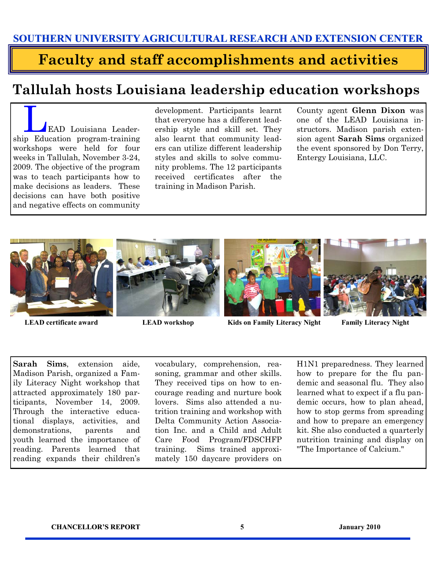## **Faculty and staff accomplishments and activities**

## **Tallulah hosts Louisiana leadership education workshops**

LEAD Louisiana Leadership Education program-training workshops were held for four weeks in Tallulah, November 3-24, 2009. The objective of the program was to teach participants how to make decisions as leaders. These decisions can have both positive and negative effects on community

development. Participants learnt that everyone has a different leadership style and skill set. They also learnt that community leaders can utilize different leadership styles and skills to solve community problems. The 12 participants received certificates after the training in Madison Parish.

County agent **Glenn Dixon** was one of the LEAD Louisiana instructors. Madison parish extension agent **Sarah Sims** organized the event sponsored by Don Terry, Entergy Louisiana, LLC.











**Sarah Sims**, extension aide, Madison Parish, organized a Family Literacy Night workshop that attracted approximately 180 participants, November 14, 2009. Through the interactive educational displays, activities, and demonstrations, parents and youth learned the importance of reading. Parents learned that reading expands their children's

vocabulary, comprehension, reasoning, grammar and other skills. They received tips on how to encourage reading and nurture book lovers. Sims also attended a nutrition training and workshop with Delta Community Action Association Inc. and a Child and Adult Care Food Program/FDSCHFP training. Sims trained approximately 150 daycare providers on

H1N1 preparedness. They learned how to prepare for the flu pandemic and seasonal flu. They also learned what to expect if a flu pandemic occurs, how to plan ahead, how to stop germs from spreading and how to prepare an emergency kit. She also conducted a quarterly nutrition training and display on "The Importance of Calcium."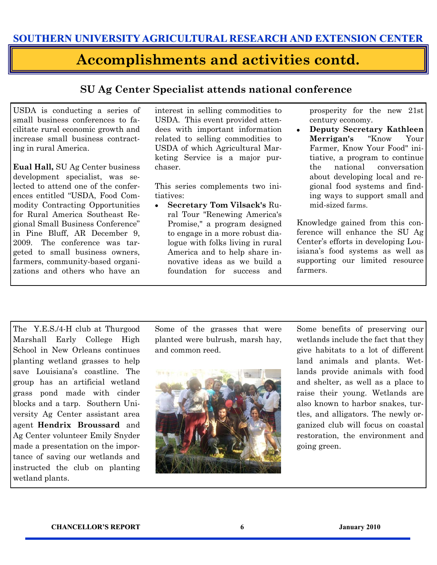#### **Accomplishments and activities contd.**

#### **SU Ag Center Specialist attends national conference**

USDA is conducting a series of small business conferences to facilitate rural economic growth and increase small business contracting in rural America.

**Eual Hall,** SU Ag Center business development specialist, was selected to attend one of the conferences entitled "USDA, Food Commodity Contracting Opportunities for Rural America Southeast Regional Small Business Conference" in Pine Bluff, AR December 9, 2009. The conference was targeted to small business owners, farmers, community-based organizations and others who have an interest in selling commodities to USDA. This event provided attendees with important information related to selling commodities to USDA of which Agricultural Marketing Service is a major purchaser.

This series complements two initiatives:

**Secretary Tom Vilsack's** Ru- $\bullet$ ral Tour "Renewing America's Promise," a program designed to engage in a more robust dialogue with folks living in rural America and to help share innovative ideas as we build a foundation for success and

prosperity for the new 21st century economy.

**Deputy Secretary Kathleen**   $\bullet$ **Merrigan's** "Know Your Farmer, Know Your Food" initiative, a program to continue the national conversation about developing local and regional food systems and finding ways to support small and mid-sized farms.

Knowledge gained from this conference will enhance the SU Ag Center's efforts in developing Louisiana's food systems as well as supporting our limited resource farmers.

The Y.E.S./4-H club at Thurgood Marshall Early College High School in New Orleans continues planting wetland grasses to help save Louisiana's coastline. The group has an artificial wetland grass pond made with cinder blocks and a tarp. Southern University Ag Center assistant area agent **Hendrix Broussard** and Ag Center volunteer Emily Snyder made a presentation on the importance of saving our wetlands and instructed the club on planting wetland plants.

Some of the grasses that were planted were bulrush, marsh hay, and common reed.



Some benefits of preserving our wetlands include the fact that they give habitats to a lot of different land animals and plants. Wetlands provide animals with food and shelter, as well as a place to raise their young. Wetlands are also known to harbor snakes, turtles, and alligators. The newly organized club will focus on coastal restoration, the environment and going green.